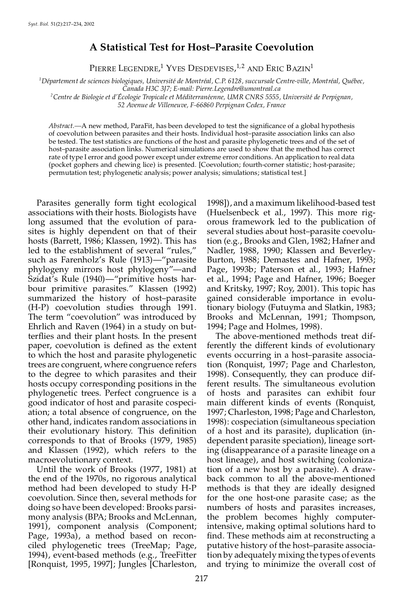# **A Statistical Test for Host–Parasite Coevolution**

PIERRE LEGENDRE,<sup>1</sup> YVES DESDEVISES,<sup>1,2</sup> AND ERIC BAZIN<sup>1</sup>

<sup>1</sup>Département de sciences biologiques, Université de Montréal, C.P. 6128, succursale Centre-ville, Montréal, Québec,

*Canada H3C 3J7; E-mail: Pierre.Legendre@umontreal.ca*

<sup>2</sup> Centre de Biologie et d'Écologie Tropicale et Méditerranéenne, UMR CNRS 5555, Université de Perpignan,

*52 Avenue de Villeneuve, F-66860 Perpignan Cedex, France*

*Abstract.*—A new method, ParaFit, has been developed to test the significance of a global hypothesis of coevolution between parasites and their hosts. Individual host–parasite association links can also be tested. The test statistics are functions of the host and parasite phylogenetic trees and of the set of host–parasite association links. Numerical simulations are used to show that the method has correct rate of type I error and good power except under extreme error conditions. An application to real data (pocket gophers and chewing lice) is presented. [Coevolution; fourth-corner statistic; host-parasite; permutation test; phylogenetic analysis; power analysis; simulations; statistical test.]

Parasites generally form tight ecological associations with their hosts. Biologists have long assumed that the evolution of para sites is highly dependent on that of their hosts (Barrett, 1986; Klassen, 1992). This has led to the establishment of several "rules," such as Farenholz's Rule (1913)—"parasite phylogeny mirrors host phylogeny"—and Szidat's Rule (1940)—"primitive hosts har bour primitive parasites." Klassen (1992) summarized the history of host–parasite (H-P) coevolution studies through 1991. The term "coevolution" was introduced by Ehrlich and Raven (1964) in a study on butterflies and their plant hosts. In the present paper, coevolution is defined as the extent to which the host and parasite phylogenetic trees are congruent, where congruence refers to the degree to which parasites and their hosts occupy corresponding positions in the phylogenetic trees. Perfect congruence is a good indicator of host and parasite cospeci ation; a total absence of congruence, on the other hand, indicates random associations in their evolutionary history. This definition corresponds to that of Brooks (1979, 1985) and Klassen (1992), which refers to the macroevolutionary context.

Until the work of Brooks (1977, 1981) at the end of the 1970s, no rigorous analytical method had been developed to study H-P coevolution. Since then, several methods for doing so have been developed: Brooks parsi mony analysis (BPA; Brooks and McLennan, 1991), component analysis (Component; Page, 1993a), a method based on recon ciled phylogenetic trees (TreeMap; Page, 1994), event-based methods (e.g., TreeFitter [Ronquist, 1995, 1997]; Jungles [Charleston,

1998]), and a maximum likelihood-based test (Huelsenbeck et al., 1997). This more rig orous framework led to the publication of several studies about host–parasite coevolution (e.g., Brooks and Glen, 1982; Hafner and Nadler, 1988, 1990; Klassen and Beverley- Burton, 1988; Demastes and Hafner, 1993; Page, 1993b; Paterson et al., 1993; Hafner et al., 1994; Page and Hafner, 1996; Boeger and Kritsky, 1997; Roy, 2001). This topic has gained considerable importance in evolutionary biology (Futuyma and Slatkin, 1983; Brooks and McLennan, 1991; Thompson, 1994; Page and Holmes, 1998).

The above-mentioned methods treat differently the different kinds of evolutionary events occurring in a host–parasite association (Ronquist, 1997; Page and Charleston, 1998). Consequently, they can produce different results. The simultaneous evolution of hosts and parasites can exhibit four main different kinds of events (Ronquist, 1997; Charleston, 1998; Page and Charleston, 1998): cospeciation (simultaneous speciation of a host and its parasite), duplication (in dependent parasite speciation), lineage sorting (disappearance of a parasite lineage on a host lineage), and host switching (colonization of a new host by a parasite). A draw back common to all the above-mentioned methods is that they are ideally designed for the one host-one parasite case; as the numbers of hosts and parasites increases, the problem becomes highly computerintensive, making optimal solutions hard to find. These methods aim at reconstructing a putative history of the host–parasite association by adequately mixing the types of events and trying to minimize the overall cost of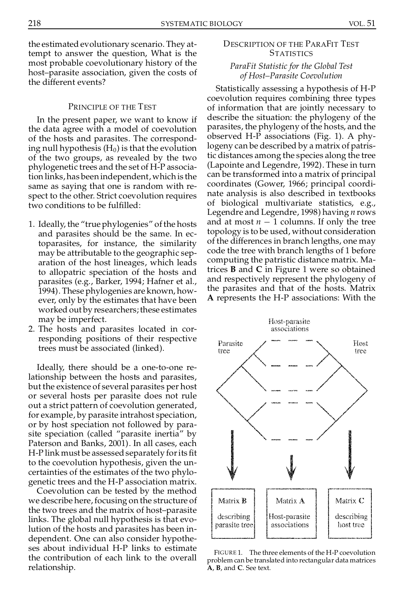the estimated evolutionary scenario. They attempt to answer the question, What is the most probable coevolutionary history of the host–parasite association, given the costs of the different events?

#### PRINCIPLE OF THE TEST

In the present paper, we want to know if the data agree with a model of coevolution of the hosts and parasites. The corresponding null hypothesis  $(H_0)$  is that the evolution of the two groups, as revealed by the two phylogenetic trees and the set of H-P association links, has been independent, which is the same as saying that one is random with re spect to the other. Strict coevolution requires two conditions to be fulfilled:

- 1. Ideally, the "true phylogenies" of the hosts and parasites should be the same. In ectoparasites, for instance, the similarity may be attributable to the geographic sep aration of the host lineages, which leads to allopatric speciation of the hosts and parasites (e.g., Barker, 1994; Hafner et al., 1994). These phylogenies are known, how ever, only by the estimates that have been worked out by researchers; these estimates may be imperfect.
- 2. The hosts and parasites located in cor responding positions of their respective trees must be associated (linked).

Ideally, there should be a one-to-one relationship between the hosts and parasites, but the existence of several parasites per host or several hosts per parasite does not rule out a strict pattern of coevolution generated, for example, by parasite intrahost speciation, or by host speciation not followed by para site speciation (called "parasite inertia" by Paterson and Banks, 2001). In all cases, each H-P link must be assessed separately for its fit to the coevolution hypothesis, given the un certainties of the estimates of the two phylo genetic trees and the H-P association matrix.

Coevolution can be tested by the method we describe here, focusing on the structure of the two trees and the matrix of host–parasite links. The global null hypothesis is that evolution of the hosts and parasites has been in dependent. One can also consider hypothe ses about individual H-P links to estimate the contribution of each link to the overall relationship.

# DESCRIPTION OF THE PARAFIT TEST **STATISTICS**

# *ParaFit Statistic for the Global Test of Host–Parasite Coevolution*

Statistically assessing a hypothesis of H-P coevolution requires combining three types of information that are jointly necessary to describe the situation: the phylogeny of the parasites, the phylogeny of the hosts, and the observed H-P associations (Fig. 1). A phylogeny can be described by a matrix of patristic distances among the species along the tree (Lapointe and Legendre, 1992). These in turn can be transformed into a matrix of principal coordinates (Gower, 1966; principal coordi nate analysis is also described in textbooks of biological multivariate statistics, e.g., Legendre and Legendre, 1998) having *n* rows and at most  $n - 1$  columns. If only the tree topology is to be used, without consideration of the differences in branch lengths, one may code the tree with branch lengths of 1 before computing the patristic distance matrix. Matrices **B** and **C** in Figure 1 were so obtained and respectively represent the phylogeny of the parasites and that of the hosts. Matrix **A** represents the H-P associations: With the



FIGURE 1. The three elements of the H-P coevolution problem can be translated into rectangular data matrices **A**, **B**, and **C**. See text.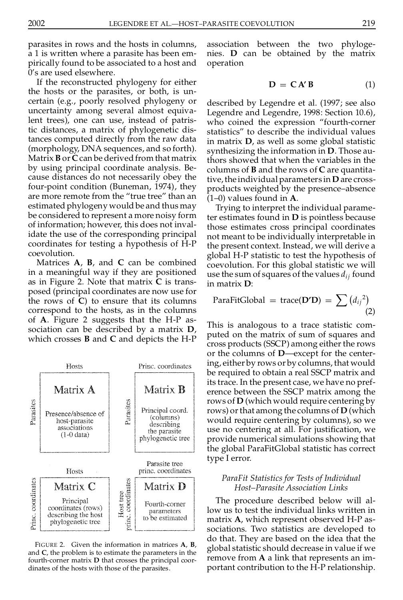parasites in rows and the hosts in columns, a 1 is written where a parasite has been em pirically found to be associated to a host and 0's are used elsewhere.

If the reconstructed phylogeny for either the hosts or the parasites, or both, is un certain (e.g., poorly resolved phylogeny or uncertainty among several almost equivalent trees), one can use, instead of patristic distances, a matrix of phylogenetic distances computed directly from the raw data (morphology, DNA sequences, and so forth). Matrix **B** or **C** can be derived from that matrix by using principal coordinate analysis. Be cause distances do not necessarily obey the four-point condition (Buneman, 1974), they are more remote from the "true tree" than an estimated phylogeny would be and thus may be considered to represent a more noisy form of information; however, this does not invalidate the use of the corresponding principal coordinates for testing a hypothesis of H-P coevolution.

Matrices **A**, **B**, and **C** can be combined in a meaningful way if they are positioned as in Figure 2. Note that matrix **C** is transposed (principal coordinates are now use for the rows of **C**) to ensure that its columns correspond to the hosts, as in the columns of **A**. Figure 2 suggests that the H-P as sociation can be described by a matrix **D**, which crosses **B** and **C** and depicts the H-P



FIGURE 2. Given the information in matrices **A**, **B**, and **C**, the problem is to estimate the parameters in the fourth-corner matrix **D** that crosses the principal coor dinates of the hosts with those of the parasites.

association between the two phyloge nies. **D** can be obtained by the matrix operation

$$
D = C A' B \tag{1}
$$

described by Legendre et al. (1997; see also Legendre and Legendre, 1998: Section 10.6), who coined the expression "fourth-corner statistics" to describe the individual values in matrix **D**, as well as some global statistic synthesizing the information in **D**. Those authors showed that when the variables in the columns of **B** and the rows of **C** are quantitative, the individual parameters in **D** are crossproducts weighted by the presence–absence (1–0) values found in **A**.

Trying to interpret the individual parameter estimates found in **D** is pointless because those estimates cross principal coordinates not meant to be individually interpretable in the present context. Instead, we will derive a global H-P statistic to test the hypothesis of coevolution. For this global statistic we will use the sum of squares of the values  $d_{ij}$  found in matrix **D**:

$$
ParaFitGlobal = trace(D'D) = \sum (d_{ij}^{2})
$$
\n(2)

This is analogous to a trace statistic com puted on the matrix of sum of squares and cross products (SSCP) among either the rows or the columns of **D**—except for the centering, either by rows or by columns, that would be required to obtain a real SSCP matrix and its trace. In the present case, we have no pref erence between the SSCP matrix among the rows of **D** (which would require centering by rows) or that among the columns of **D** (which would require centering by columns), so we use no centering at all. For justification, we provide numerical simulations showing that the global ParaFitGlobal statistic has correct type I error.

## *ParaFit Statistics for Tests of Individual Host–Parasite Association Links*

The procedure described below will allow us to test the individual links written in matrix **A**, which represent observed H-P as sociations. Two statistics are developed to do that. They are based on the idea that the global statistic should decrease in value if we remove from **A** a link that represents an im portant contribution to the H-P relationship.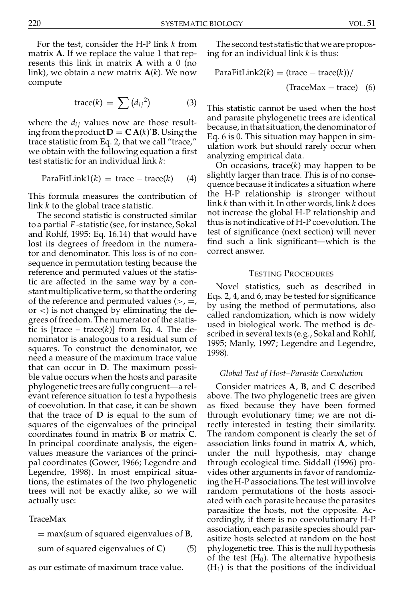For the test, consider the H-P link *k* from matrix **A**. If we replace the value 1 that rep resents this link in matrix **A** with a 0 (no link), we obtain a new matrix **A**(*k*). We now compute

$$
trace(k) = \sum (d_{ij}^2) \tag{3}
$$

where the  $d_{ij}$  values now are those resulting from the product  $D = C A(k)$ <sup> $B$ </sup>. Using the trace statistic from Eq. 2, that we call "trace," we obtain with the following equation a first test statistic for an individual link *k*:

$$
ParaFitLink1(k) = trace - trace(k) \t(4)
$$

This formula measures the contribution of link *k* to the global trace statistic.

The second statistic is constructed similar to a partial *F*-statistic (see, for instance, Sokal and Rohlf, 1995: Eq. 16.14) that would have lost its degrees of freedom in the numerator and denominator. This loss is of no con sequence in permutation testing because the reference and permuted values of the statistic are affected in the same way by a con stant multiplicative term, so that the ordering of the reference and permuted values ( $>$ ,  $=$ , or  $\lt$ ) is not changed by eliminating the degrees offreedom. The numerator of the statistic is  $[trace - trace(k)]$  from Eq. 4. The denominator is analogous to a residual sum of squares. To construct the denominator, we need a measure of the maximum trace value that can occur in **D**. The maximum possi ble value occurs when the hosts and parasite phylogenetic trees are fully congruent—a rel evant reference situation to test a hypothesis of coevolution. In that case, it can be shown that the trace of **D** is equal to the sum of squares of the eigenvalues of the principal coordinates found in matrix **B** or matrix **C**. In principal coordinate analysis, the eigen values measure the variances of the princi pal coordinates (Gower, 1966; Legendre and Legendre, 1998). In most empirical situations, the estimates of the two phylogenetic trees will not be exactly alike, so we will actually use:

### TraceMax

 $=$  max(sum of squared eigenvalues of **B**, sum of squared eigenvalues of **C**) (5)

as our estimate of maximum trace value.

The second test statistic that we are proposing for an individual link *k* is thus:

$$
ParaFitLink2(k) = (trace - trace(k))/
$$
  
(TraceMax - trace) (6)

This statistic cannot be used when the host and parasite phylogenetic trees are identical because, in that situation, the denominator of Eq. 6 is 0. This situation may happen in sim ulation work but should rarely occur when analyzing empirical data.

On occasions, trace(*k*) may happen to be slightly larger than trace. This is of no conse quence because it indicates a situation where the H-P relationship is stronger without link *k* than with it.In other words, link *k* does not increase the global H-P relationship and thus is notindicative of H-P coevolution. The test of signicance (next section) will never find such a link significant—which is the correct answer.

#### TESTING PROCEDURES

Novel statistics, such as described in Eqs. 2, 4, and 6, may be tested for significance by using the method of permutations, also called randomization, which is now widely used in biological work. The method is de scribed in several texts (e.g., Sokal and Rohlf, 1995; Manly, 1997; Legendre and Legendre, 1998).

#### *Global Test of Host–Parasite Coevolution*

Consider matrices **A**, **B**, and **C** described above. The two phylogenetic trees are given as fixed because they have been formed through evolutionary time; we are not di rectly interested in testing their similarity. The random component is clearly the set of association links found in matrix **A**, which, under the null hypothesis, may change through ecological time. Siddall (1996) pro vides other arguments in favor of randomizing the H-P associations. The test will involve random permutations of the hosts associ ated with each parasite because the parasites parasitize the hosts, not the opposite. Ac cordingly, if there is no coevolutionary H-P association, each parasite species should par asitize hosts selected at random on the host phylogenetic tree. This is the null hypothesis of the test  $(H_0)$ . The alternative hypothesis  $(H<sub>1</sub>)$  is that the positions of the individual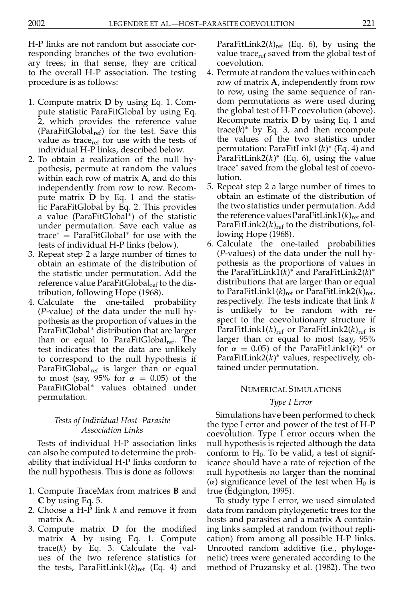H-P links are not random but associate corresponding branches of the two evolution ary trees; in that sense, they are critical to the overall H-P association. The testing procedure is as follows:

- 1. Compute matrix **D** by using Eq. 1. Com pute statistic ParaFitGlobal by using Eq. 2, which provides the reference value (ParaFitGlobal<sub>ref</sub>) for the test. Save this value as trace<sub>ref</sub> for use with the tests of individual H-P links, described below.
- 2. To obtain a realization of the null hy pothesis, permute at random the values within each row of matrix **A**, and do this independently from row to row. Recom pute matrix **D** by Eq. 1 and the statistic ParaFitGlobal by Eq. 2. This provides a value (ParaFitGlobal¤ ) of the statistic under permutation. Save each value as  $trace^* = ParamFitGlobal^*$  for use with the tests of individual H-P links (below).
- 3. Repeat step 2 a large number of times to obtain an estimate of the distribution of the statistic under permutation. Add the reference value ParaFitGlobal<sub>ref</sub> to the distribution, following Hope (1968).
- 4. Calculate the one-tailed probability (*P*-value) of the data under the null hy pothesis as the proportion of values in the ParaFitGlobal<sup>\*</sup> distribution that are larger than or equal to ParaFitGlobal $_{ref.}$  The test indicates that the data are unlikely to correspond to the null hypothesis if ParaFitGlobal<sub>ref</sub> is larger than or equal to most (say, 95% for  $\alpha = 0.05$ ) of the ParaFitGlobal<sup>\*</sup> values obtained under permutation.

### *Tests of Individual Host–Parasite Association Links*

Tests of individual H-P association links can also be computed to determine the prob ability that individual H-P links conform to the null hypothesis. This is done as follows:

- 1. Compute TraceMax from matrices **B** and **C** by using Eq. 5.
- 2. Choose a H-P link *k* and remove it from matrix **A**.
- 3. Compute matrix **D** for the modified matrix **A** by using Eq. 1. Compute trace(*k*) by Eq. 3. Calculate the val ues of the two reference statistics for the tests, ParaFitLink1 $(k)_{ref}$  (Eq. 4) and

ParaFitLink2( $k$ )<sub>ref</sub> (Eq. 6), by using the value trace<sub>ref</sub> saved from the global test of coevolution.

- 4. Permute at random the values within each row of matrix **A**, independently from row to row, using the same sequence of ran dom permutations as were used during the global test of H-P coevolution (above). Recompute matrix **D** by using Eq. 1 and trace $(k)$ <sup>\*</sup> by Eq. 3, and then recompute the values of the two statistics under permutation: ParaFitLink1(*k*)¤ (Eq. 4) and ParaFitLink2(*k*)¤ (Eq. 6), using the value trace\* saved from the global test of coevolution.
- 5. Repeat step 2 a large number of times to obtain an estimate of the distribution of the two statistics under permutation. Add the reference values ParaFitLink1 $(k)_{ref}$  and ParaFitLink2 $(k)_{ref}$  to the distributions, following Hope (1968).
- 6. Calculate the one-tailed probabilities (*P*-values) of the data under the null hy pothesis as the proportions of values in the ParaFitLink1( $k$ )<sup>\*</sup> and ParaFitLink2( $k$ )<sup>\*</sup> distributions that are larger than or equal to ParaFitLink1(*k*)ref or ParaFitLink2(*k*)ref, respectively. The tests indicate that link *k* is unlikely to be random with re spect to the coevolutionary structure if ParaFitLink1( $k$ )<sub>ref</sub> or ParaFitLink2( $k$ )<sub>ref</sub> is larger than or equal to most (say, 95% for  $\alpha = 0.05$ ) of the ParaFitLink1(k)<sup>\*</sup> or ParaFitLink2 $(k)$ <sup>\*</sup> values, respectively, obtained under permutation.

## NUMERICAL SIMULATIONS

### *Type I Error*

Simulations have been performed to check the type I error and power of the test of H-P coevolution. Type I error occurs when the null hypothesis is rejected although the data conform to  $H_0$ . To be valid, a test of significance should have a rate of rejection of the null hypothesis no larger than the nominal ( $\alpha$ ) significance level of the test when H<sub>0</sub> is true (Edgington, 1995).

To study type I error, we used simulated data from random phylogenetic trees for the hosts and parasites and a matrix **A** containing links sampled at random (without repli cation) from among all possible H-P links. Unrooted random additive (i.e., phyloge netic) trees were generated according to the method of Pruzansky et al. (1982). The two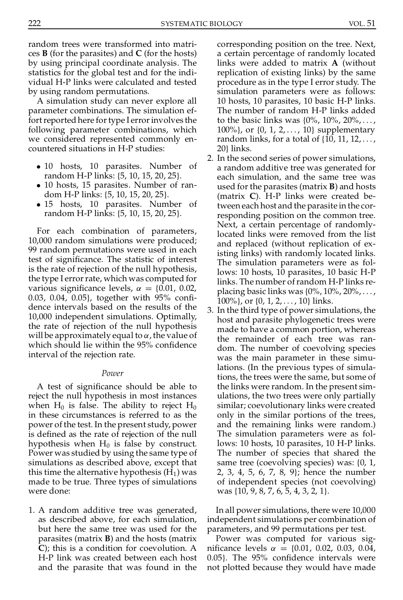random trees were transformed into matri ces **B** (for the parasites) and **C** (for the hosts) by using principal coordinate analysis. The statistics for the global test and for the indi vidual H-P links were calculated and tested by using random permutations.

A simulation study can never explore all parameter combinations. The simulation effort reported here for type I error involves the following parameter combinations, which we considered represented commonly en countered situations in H-P studies:

- 10 hosts, 10 parasites. Number of random H-P links: {5, 10, 15, 20, 25}.
- 10 hosts, 15 parasites. Number of ran-<br>dom H-P links:  $\{5, 10, 15, 20, 25\}$ .
- 15 hosts, 10 parasites. Number of random H-P links: {5, 10, 15, 20, 25}.

For each combination of parameters, 10,000 random simulations were produced; 99 random permutations were used in each test of signicance. The statistic of interest is the rate of rejection of the null hypothesis, the type Ierrorrate, which was computed for various significance levels,  $\alpha = \{0.01, 0.02, 0.03, 0.04, 0.05\}$ , together with 95% confidence intervals based on the results of the 10,000 independent simulations. Optimally, the rate of rejection of the null hypothesis will be approximately equal to  $\alpha$ , the value of which should lie within the 95% confidence interval of the rejection rate.

#### *Power*

A test of signicance should be able to reject the null hypothesis in most instances when  $H_0$  is false. The ability to reject  $H_0$ in these circumstances is referred to as the power of the test. In the present study, power is defined as the rate of rejection of the null hypothesis when  $H_0$  is false by construct. Power was studied by using the same type of simulations as described above, except that this time the alternative hypothesis  $(H_1)$  was made to be true. Three types of simulations were done:

1. A random additive tree was generated, as described above, for each simulation, but here the same tree was used for the parasites (matrix **B**) and the hosts (matrix **C**); this is a condition for coevolution. A H-P link was created between each host and the parasite that was found in the

corresponding position on the tree. Next, a certain percentage of randomly located links were added to matrix **A** (without replication of existing links) by the same procedure as in the type I error study. The simulation parameters were as follows: 10 hosts, 10 parasites, 10 basic H-P links. The number of random H-P links added to the basic links was  $\{0\%$ ,  $10\%$ ,  $20\%$ , ...,  $100\%$ , or  $\{0, 1, 2, \ldots, 10\}$  supplementary random links, for a total of  $\{10, 11, 12, \ldots, 20\}$  links.

- 2. In the second series of power simulations, a random additive tree was generated for each simulation, and the same tree was used forthe parasites (matrix **B**) and hosts (matrix **C**). H-P links were created between each host and the parasite in the cor responding position on the common tree. Next, a certain percentage of randomlylocated links were removed from the list and replaced (without replication of existing links) with randomly located links. The simulation parameters were as follows: 10 hosts, 10 parasites, 10 basic H-P links. The number of random H-P links replacing basic links was {0%, 10%, 20%, . . . , 100%}, or {0, 1, 2, . . . , 10} links.
- 3. In the third type of power simulations, the host and parasite phylogenetic trees were made to have a common portion, whereas the remainder of each tree was ran dom. The number of coevolving species was the main parameter in these simulations. (In the previous types of simulations, the trees were the same, but some of the links were random. In the present sim ulations, the two trees were only partially similar; coevolutionary links were created only in the similar portions of the trees, and the remaining links were random.) The simulation parameters were as follows: 10 hosts, 10 parasites, 10 H-P links. The number of species that shared the same tree (coevolving species) was:  $\{0, 1, \}$ 2, 3, 4, 5, 6, 7, 8, 9; hence the number of independent species (not coevolving) was  $\{10, 9, 8, 7, 6, 5, 4, 3, 2, 1\}$ .

In all power simulations, there were 10,000 independent simulations per combination of parameters, and 99 permutations per test.

Power was computed for various sig nificance levels  $\alpha = \{0.01, 0.02, 0.03, 0.04, 0.05\}$ . The 95% confidence intervals were not plotted because they would have made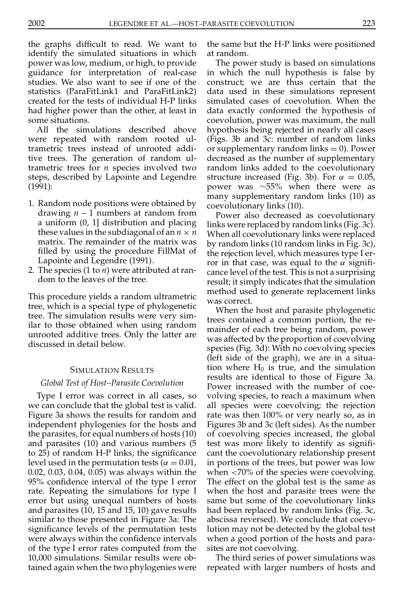the graphs difficult to read. We want to identify the simulated situations in which power was low, medium, or high, to provide guidance for interpretation of real-case studies. We also want to see if one of the statistics (ParaFitLink1 and ParaFitLink2) created for the tests of individual H-P links had higher power than the other, at least in some situations.

All the simulations described above were repeated with random rooted ultrametric trees instead of unrooted additive trees. The generation of random ultrametric trees for *n* species involved two steps, described by Lapointe and Legendre (1991):

- 1. Random node positions were obtained by drawing  $n - 1$  numbers at random from a uniform (0, 1] distribution and placing these values in the subdiagonal of an  $n \times n$ matrix. The remainder of the matrix was filled by using the procedure FillMat of Lapointe and Legendre (1991).
- 2. The species (1 to *n*) were attributed at ran dom to the leaves of the tree.

This procedure yields a random ultrametric tree, which is a special type of phylogenetic tree. The simulation results were very similar to those obtained when using random unrooted additive trees. Only the latter are discussed in detail below.

#### SIMULATION RESULTS

### *Global Test of Host–Parasite Coevolution*

Type I error was correct in all cases, so we can conclude that the global test is valid. Figure 3a shows the results for random and independent phylogenies for the hosts and the parasites, for equal numbers of hosts (10) and parasites (10) and various numbers (5 to 25) of random H-P links; the signicance level used in the permutation tests ( $\alpha = 0.01$ , 0.02, 0.03, 0.04, 0.05) was always within the 95% confidence interval of the type I error rate. Repeating the simulations for type I error but using unequal numbers of hosts and parasites (10, 15 and 15, 10) gave results similar to those presented in Figure 3a: The significance levels of the permutation tests were always within the confidence intervals of the type I error rates computed from the 10,000 simulations. Similar results were obtained again when the two phylogenies were

the same but the H-P links were positioned at random.

The power study is based on simulations in which the null hypothesis is false by construct; we are thus certain that the data used in these simulations represent simulated cases of coevolution. When the data exactly conformed the hypothesis of coevolution, power was maximum, the null hypothesis being rejected in nearly all cases (Figs. 3b and 3c: number of random links or supplementary random links  $= 0$ ). Power decreased as the number of supplementary random links added to the coevolutionary structure increased (Fig. 3b). For  $\alpha = 0.05$ , power was  $\sim$ 55% when there were as many supplementary random links (10) as coevolutionary links (10).

Power also decreased as coevolutionary links were replaced by random links (Fig. 3c). When all coevolutionary links were replaced by random links (10 random links in Fig. 3c), the rejection level, which measures type I er ror in that case, was equal to the  $\alpha$  significance level of the test. This is not a surprising result; it simply indicates that the simulation method used to generate replacement links was correct.

When the host and parasite phylogenetic trees contained a common portion, the re mainder of each tree being random, power was affected by the proportion of coevolving species (Fig. 3d): With no coevolving species (left side of the graph), we are in a situation where  $H_0$  is true, and the simulation results are identical to those of Figure 3a. Power increased with the number of coe volving species, to reach a maximum when all species were coevolving; the rejection rate was then 100% or very nearly so, as in Figures 3b and 3c (left sides). As the number of coevolving species increased, the global test was more likely to identify as significant the coevolutionary relationship present in portions of the trees, but power was low when <70% of the species were coevolving. The effect on the global test is the same as when the host and parasite trees were the same but some of the coevolutionary links had been replaced by random links (Fig. 3c, abscissa reversed). We conclude that coevolution may not be detected by the global test when a good portion of the hosts and para sites are not coevolving.

The third series of power simulations was repeated with larger numbers of hosts and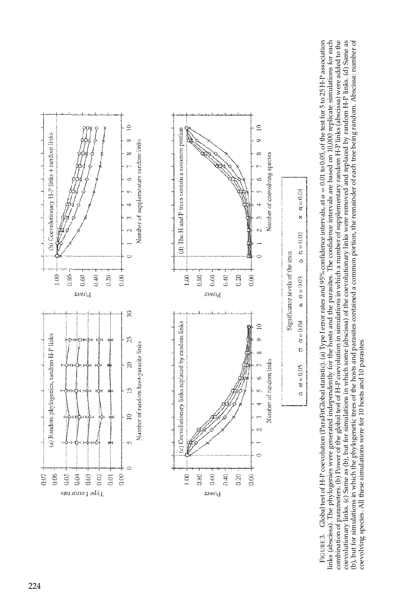

combination of parameters. (b) Power of the global test of H-P coevolution in simulations in which a number of supplementary random H-P links (abscissa) were added to the coevolutionary links. (c) Same as (b), but for simulations in which some (abscissa) of the coevolutionary links were removed and replaced by random H-P links. (d) Same as (b), but for simulations in which the phylogenetic trees of the hosts and parasites contained a common portion, the remainder of each tree being random. Abscissa: number of Global test of H-P coevolution (ParaFitGlobal statistic). (a) Type I error rates and 95% confidence intervals, at  $\alpha = 0.01$  to 0.05, of the test for 5 to 25 H-P association links (abscissa). The phylogenies were generated independently for the hosts and the parasites. The confidence intervals are based on 10,000 replicate simulations for each FIGURE 3. Global test of H-P coevolution (ParaFitGlobal statistic). (a) Type I error rates and 95% confidence intervals, at  $a=0.01$  to 0.05, of the test for 5 to 25 H-P association displace to the phylogenies were generat links (abscissa). The phylogenies were generated independently for the hosts and the parasites. The confidence intervals are based on 10,000 replicate simulations for each<br>combination of parameters. (b) Power of the global combination of parameters. (b) Power of the global test of H-P coevolution in simulations in which a number of supplementary random H-P links (abscissa) were added to the<br>coevolutionary links. (c) Same as (b), but for simu coevolutionary links. (c) Same as (b), but for simulations in which some (abscissa) of the coevolutionary links were removed and replaced by random H-P links. (d) Same as<br>(b), but for simulations in which the phylogenetic (b), but for simulations in which the phylogenetic trees of the hosts and parasites contained a common portion, the remainder of each tree being random. Abscissa: number of coevolving species. All these simulations were fo coevolving species. All these simulations were for 10 hosts and 10 parasites. coevolving species. All these simulations were for 10 hosts and 10 parasites. FIGURE 3.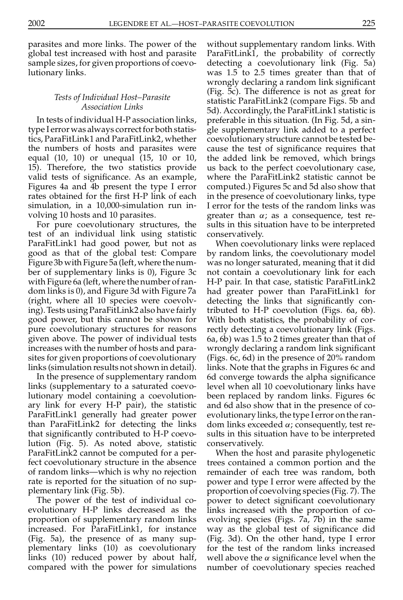parasites and more links. The power of the global test increased with host and parasite sample sizes, for given proportions of coevolutionary links.

# *Tests of Individual Host–Parasite Association Links*

In tests of individual H-P association links, type I error was always correct for both statistics, ParaFitLink1 and ParaFitLink2, whether the numbers of hosts and parasites were equal (10, 10) or unequal (15, 10 or 10, 15). Therefore, the two statistics provide valid tests of signicance. As an example, Figures 4a and 4b present the type I error rates obtained for the first H-P link of each simulation, in a 10,000-simulation run in volving 10 hosts and 10 parasites.

For pure coevolutionary structures, the test of an individual link using statistic ParaFitLink1 had good power, but not as good as that of the global test: Compare Figure 3b with Figure 5a (left, where the num ber of supplementary links is 0), Figure 3c with Figure 6a (left, where the number ofran dom links is 0), and Figure 3d with Figure 7a (right, where all 10 species were coevolving).Tests using ParaFitLink2 also have fairly good power, but this cannot be shown for pure coevolutionary structures for reasons given above. The power of individual tests increases with the number of hosts and para sites for given proportions of coevolutionary links (simulation results not shown in detail).

In the presence of supplementary random links (supplementary to a saturated coevolutionary model containing a coevolution ary link for every H-P pair), the statistic ParaFitLink1 generally had greater power than ParaFitLink2 for detecting the links that signicantly contributed to H-P coevolution (Fig. 5). As noted above, statistic ParaFitLink2 cannot be computed for a perfect coevolutionary structure in the absence of random links—which is why no rejection rate is reported for the situation of no sup plementary link (Fig. 5b).

The power of the test of individual co evolutionary H-P links decreased as the proportion of supplementary random links increased. For ParaFitLink1, for instance (Fig. 5a), the presence of as many sup plementary links (10) as coevolutionary links (10) reduced power by about half, compared with the power for simulations without supplementary random links. With ParaFitLink1, the probability of correctly detecting a coevolutionary link (Fig. 5a) was 1.5 to 2.5 times greater than that of wrongly declaring a random link significant (Fig. 5c). The difference is not as great for statistic ParaFitLink2 (compare Figs. 5b and 5d). Accordingly, the ParaFitLink1 statistic is preferable in this situation. (In Fig. 5d, a sin gle supplementary link added to a perfect coevolutionary structure cannot be tested be cause the test of significance requires that the added link be removed, which brings us back to the perfect coevolutionary case, where the ParaFitLink2 statistic cannot be computed.) Figures 5c and 5d also show that in the presence of coevolutionary links, type I error for the tests of the random links was greater than  $\alpha$ ; as a consequence, test results in this situation have to be interpreted conservatively.

When coevolutionary links were replaced by random links, the coevolutionary model was no longer saturated, meaning that it did not contain a coevolutionary link for each H-P pair. In that case, statistic ParaFitLink2 had greater power than ParaFitLink1 for detecting the links that significantly contributed to H-P coevolution (Figs. 6a, 6b). With both statistics, the probability of cor rectly detecting a coevolutionary link (Figs. 6a, 6b) was 1.5 to 2 times greater than that of wrongly declaring a random link significant (Figs. 6c, 6d) in the presence of 20% random links. Note that the graphs in Figures 6c and 6d converge towards the alpha signicance level when all 10 coevolutionary links have been replaced by random links. Figures 6c and 6d also show that in the presence of co evolutionary links, the type Ierror onthe ran dom links exceeded  $\alpha$ ; consequently, test results in this situation have to be interpreted conservatively.

When the host and parasite phylogenetic trees contained a common portion and the remainder of each tree was random, both power and type I error were affected by the proportion of coevolving species (Fig. 7). The power to detect significant coevolutionary links increased with the proportion of co evolving species (Figs. 7a, 7b) in the same way as the global test of signicance did (Fig. 3d). On the other hand, type I error for the test of the random links increased well above the  $\alpha$  significance level when the number of coevolutionary species reached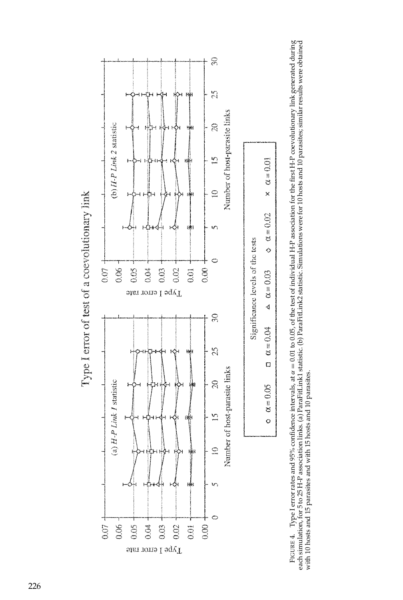

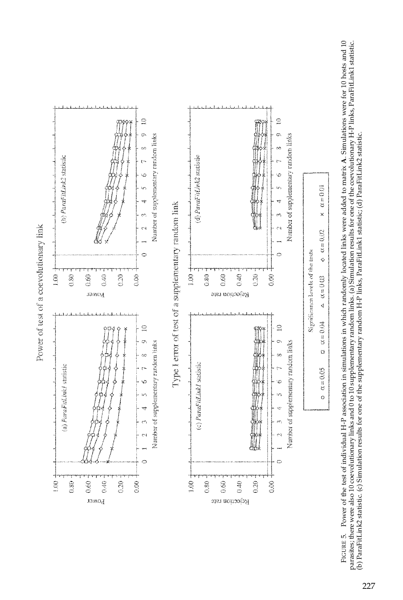FIGURE 5. Power of the test of individual H-P association in simulations in which randomly located links were added to matrix A. Simulations were for 10 hosts and 10 parasites; there were also 10 coevolutionary links and 0 to 10 supplementary random links. (a) Simulation results for one of the coevolutionary H-P links, ParaFitLink1 statistic. FIGURE 5. Power of the test of individual H-P association in simulations in which randomly located links were added to matrix A. Simulations were for 10 hosts and 10 parasites; there were also 10 coevolutionary links and 0 (b) ParaFitLink2 statistic. (c) Simulation results for one of the supplementary random H-P links, ParaFitLink1 statistic, (d) ParaFitLink2 statistic. H-P links, ParaFitLink1 statistic; (d) ParaFitLink2 statistic. (b) ParaFitLink2 statistic. (c) Simulation results for one of the supplementary random



Power of test of a coevolutionary link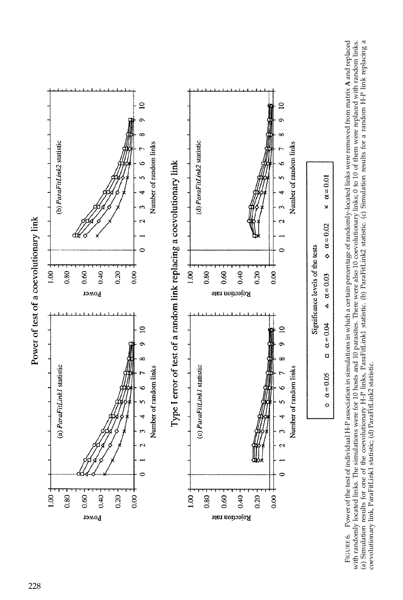

FIGURE 6. Power of the test of individual H-P association in simulations in which a certain percentage of randomly-located links were removed from matrix **A** and replaced<br>with randomly located links. The simulations were f (a) Simulation results for one of the coevolutionary H-P links, ParaFitLink1 statistic. (b) ParaFitLink2 statistic. (c) Simulation results for a random H-P link replacing a coevolutionary link, ParaFitLink1 statistic; (d) FIGURE 6. Power of the test of individual H-P association in simulations in which a certain percentage of randomly-located links were removed from matrix **A** and replaced<br>th randomly located links. The simulations were for with randomly located links. The simulations were for 10 hosts and 10 parasites. There were also 10 coevolutionary links; 0 to 10 of them were replaced with random links;<br>(a) Simulation results for one of the coevolutionar coevolutionary link, ParaFitLink1 statistic; (d) ParaFitLink2 statistic.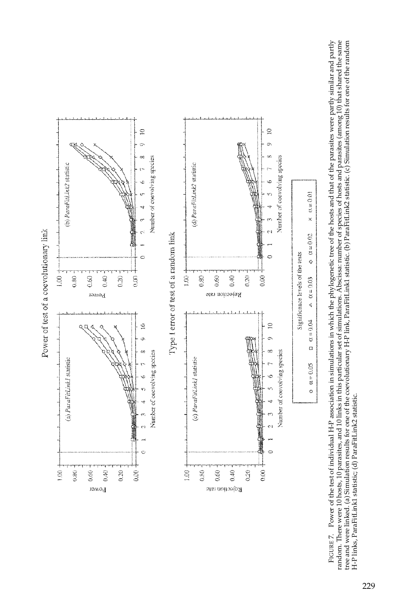

random. There were 10 hosts, 10 parasites, and 10 links in this particular set of simulations. Abscissa: number of species of hosts and parasites (among 10) that shared the same FIGURE 7. Power of the test of individual H-P association in simulations in which the phylogenetic tree of the hosts and that of the parasites were partly similar and partly tree and were linked. (a) Simulation results for one of the coevolutionary H-P link, ParaFitLink1 statistic. (b) ParaFitLink2 statistic. (c) Simulation results for one of the random FIGURE 7. Power of the test of individual H-P association in simulations in which the phylogenetic tree of the hosts and that of the parasites were partly similar and partly<br>ndom. There were 10 hosts, 10 parasites, and 10 random. There were 10 hosts, 10 parasites, and 10 links in this particular set of simulations. Abscissa: number of species of hosts and parasites (among 10) that shared the same<br>tree and were linked. (a) Simulation results tree and were linked. (a) Simulation results for one of the coevolutionary H-P link, ParaFitLink1 statistic. (b) ParaFitLink2 statistic. (c) Simulation results for one of the random<br>H-P links, ParaFitLink1 statistic; (d) P H-P links, ParaFitLink1 statistic; (d) ParaFitLink2 statistic. H-P links, ParaFitLink1 statistic; (d) ParaFitLink2 statistic.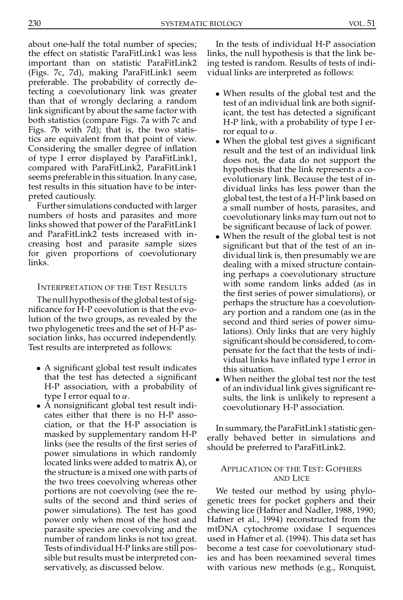230 SYSTEMATIC BIOLOGY VOL. 51

about one-half the total number of species; the effect on statistic ParaFitLink1 was less important than on statistic ParaFitLink2 (Figs. 7c, 7d), making ParaFitLink1 seem preferable. The probability of correctly detecting a coevolutionary link was greater than that of wrongly declaring a random link significant by about the same factor with both statistics (compare Figs. 7a with 7c and Figs. 7b with 7d); that is, the two statistics are equivalent from that point of view. Considering the smaller degree of inflation of type I error displayed by ParaFitLink1, compared with ParaFitLink2, ParaFitLink1 seems preferable in this situation. In any case, test results in this situation have to be inter preted cautiously.

Further simulations conducted with larger numbers of hosts and parasites and more links showed that power of the ParaFitLink1 and ParaFitLink2 tests increased with in creasing host and parasite sample sizes for given proportions of coevolutionary links.

## INTERPRETATION OF THE TEST RESULTS

The null hypothesis of the global test of signicance for H-P coevolution is that the evolution of the two groups, as revealed by the two phylogenetic trees and the set of H-P as sociation links, has occurred independently. Test results are interpreted as follows:

- A significant global test result indicates that the test has detected a significant H-P association, with a probability of type I error equal to  $\alpha$ .
- <sup>²</sup> <sup>A</sup> nonsignicant global test result indi- cates either that there is no H-P asso ciation, or that the H-P association is masked by supplementary random H-P links (see the results of the first series of power simulations in which randomly located links were added to matrix **A**), or the structure is a mixed one with parts of the two trees coevolving whereas other portions are not coevolving (see the re sults of the second and third series of power simulations). The test has good power only when most of the host and parasite species are coevolving and the number of random links is not too great. Tests ofindividual H-P links are still pos sible but results must be interpreted conservatively, as discussed below.

In the tests of individual H-P association links, the null hypothesis is that the link being tested is random. Results of tests of indi vidual links are interpreted as follows:

- When results of the global test and the test of an individual link are both significant, the test has detected a significant H-P link, with a probability of type I er ror equal to  $\alpha$ .
- When the global test gives a significant result and the test of an individual link does not, the data do not support the hypothesis that the link represents a co evolutionary link. Because the test of in dividual links has less power than the global test, the test of a H-P link based on a small number of hosts, parasites, and coevolutionary links may turn out not to be significant because of lack of power.
- When the result of the global test is not significant but that of the test of an individual link is, then presumably we are dealing with a mixed structure containing perhaps a coevolutionary structure with some random links added (as in the first series of power simulations), or perhaps the structure has a coevolution ary portion and a random one (as in the second and third series of power simulations). Only links that are very highly significant should be considered, to compensate for the fact that the tests of indi vidual links have inflated type I error in this situation.
- When neither the global test nor the test of an individual link gives signicant re sults, the link is unlikely to represent a coevolutionary H-P association.

In summary, the ParaFitLink1 statistic gen erally behaved better in simulations and should be preferred to ParaFitLink2.

## APPLICATION OF THE TEST: GOPHERS AND LICE

We tested our method by using phylo genetic trees for pocket gophers and their chewing lice (Hafner and Nadler, 1988, 1990; Hafner et al., 1994) reconstructed from the mtDNA cytochrome oxidase I sequences used in Hafner et al. (1994). This data set has become a test case for coevolutionary studies and has been reexamined several times with various new methods (e.g., Ronquist,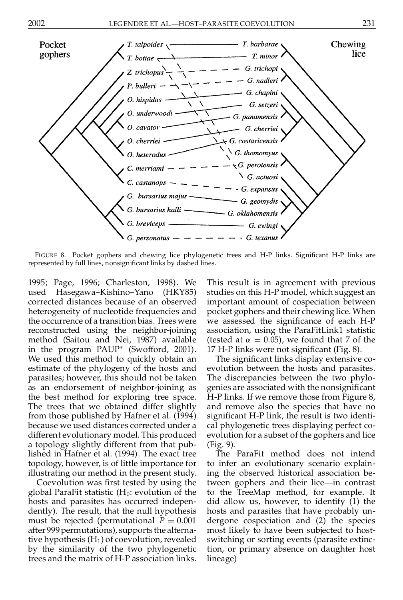

FIGURE 8. Pocket gophers and chewing lice phylogenetic trees and H-P links. Significant H-P links are represented by full lines, nonsignificant links by dashed lines.

1995; Page, 1996; Charleston, 1998). We used Hasegawa–Kishino–Yano (HKY85) corrected distances because of an observed heterogeneity of nucleotide frequencies and the occurrence of a transition bias. Trees were reconstructed using the neighbor-joining method (Saitou and Nei, 1987) available in the program PAUP ¤ (Swofford, 2001). We used this method to quickly obtain an estimate of the phylogeny of the hosts and parasites; however, this should not be taken as an endorsement of neighbor-joining as the best method for exploring tree space. The trees that we obtained differ slightly from those published by Hafner et al. (1994) because we used distances corrected under a different evolutionary model. This produced a topology slightly different from that published in Hafner et al. (1994). The exact tree topology, however, is of little importance for illustrating our method in the present study.

Coevolution was first tested by using the global ParaFit statistic  $(H_0:$  evolution of the hosts and parasites has occurred indepen dently). The result, that the null hypothesis must be rejected (permutational  $P = 0.001$ after 999 permutations), supports the alternative hypothesis  $(H_1)$  of coevolution, revealed by the similarity of the two phylogenetic trees and the matrix of H-P association links.

This result is in agreement with previous studies on this H-P model, which suggest an important amount of cospeciation between pocket gophers and their chewing lice. When we assessed the significance of each H-P association, using the ParaFitLink1 statistic (tested at  $\alpha = 0.05$ ), we found that 7 of the 17 H-P links were not significant (Fig. 8).

The significant links display extensive coevolution between the hosts and parasites. The discrepancies between the two phylo genies are associated with the nonsignicant H-P links. If we remove those from Figure 8, and remove also the species that have no significant H-P link, the result is two identical phylogenetic trees displaying perfect co evolution for a subset of the gophers and lice (Fig. 9).

The ParaFit method does not intend to infer an evolutionary scenario explaining the observed historical association between gophers and their lice—in contrast to the TreeMap method, for example. It did allow us, however, to identify (1) the hosts and parasites that have probably un dergone cospeciation and (2) the species most likely to have been subjected to host switching or sorting events (parasite extinction, or primary absence on daughter host lineage)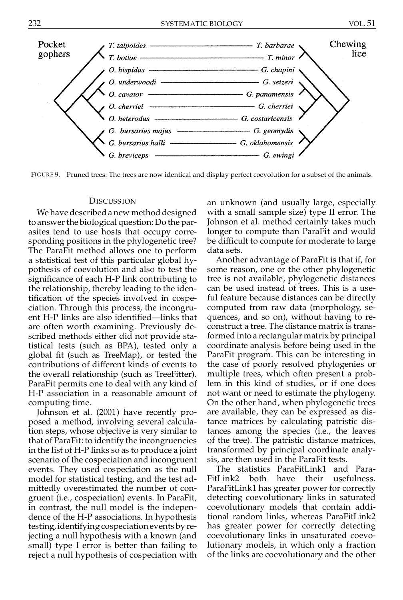

FIGURE 9. Pruned trees: The trees are now identical and display perfect coevolution for a subset of the animals.

#### **DISCUSSION**

We have described a new method designed to answerthe biological question: Do the par asites tend to use hosts that occupy corre sponding positions in the phylogenetic tree? The ParaFit method allows one to perform a statistical test of this particular global hy pothesis of coevolution and also to test the significance of each H-P link contributing to the relationship, thereby leading to the identification of the species involved in cospeciation. Through this process, the incongru ent H-P links are also identified—links that are often worth examining. Previously de scribed methods either did not provide statistical tests (such as BPA), tested only a global fit (such as TreeMap), or tested the contributions of different kinds of events to the overall relationship (such as TreeFitter). ParaFit permits one to deal with any kind of H-P association in a reasonable amount of computing time.

Johnson et al. (2001) have recently pro posed a method, involving several calculation steps, whose objective is very similar to that of ParaFit: to identify the incongruencies in the list of H-P links so as to produce a joint scenario of the cospeciation and incongruent events. They used cospeciation as the null model for statistical testing, and the test ad mittedly overestimated the number of con gruent (i.e., cospeciation) events. In ParaFit, in contrast, the null model is the indepen dence of the H-P associations. In hypothesis testing, identifying cospeciation events by rejecting a null hypothesis with a known (and small) type I error is better than failing to reject a null hypothesis of cospeciation with an unknown (and usually large, especially with a small sample size) type II error. The Johnson et al. method certainly takes much longer to compute than ParaFit and would be difficult to compute for moderate to large data sets.

Another advantage of ParaFit is that if, for some reason, one or the other phylogenetic tree is not available, phylogenetic distances can be used instead of trees. This is a useful feature because distances can be directly computed from raw data (morphology, se quences, and so on), without having to re construct a tree. The distance matrix is transformed into a rectangular matrix by principal coordinate analysis before being used in the ParaFit program. This can be interesting in the case of poorly resolved phylogenies or multiple trees, which often present a problem in this kind of studies, or if one does not want or need to estimate the phylogeny. On the other hand, when phylogenetic trees are available, they can be expressed as distance matrices by calculating patristic distances among the species (i.e., the leaves of the tree). The patristic distance matrices, transformed by principal coordinate analy sis, are then used in the ParaFit tests.

The statistics ParaFitLink1 and Para- FitLink2 both have their usefulness. ParaFitLink1 has greater power for correctly detecting coevolutionary links in saturated coevolutionary models that contain additional random links, whereas ParaFitLink2 has greater power for correctly detecting coevolutionary links in unsaturated coevolutionary models, in which only a fraction of the links are coevolutionary and the other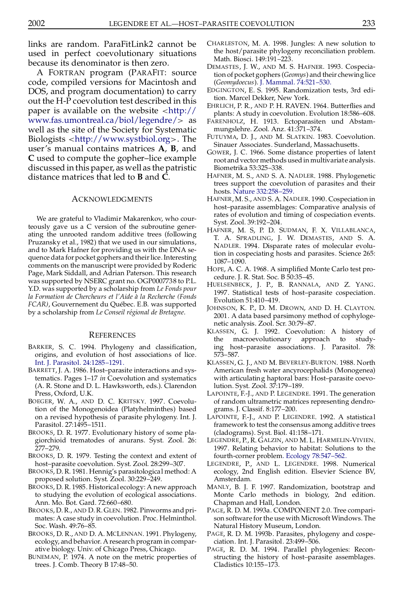links are random. ParaFitLink2 cannot be used in perfect coevolutionary situations because its denominator is then zero.

A FORTRAN program (PARAFIT: source code, compiled versions for Macintosh and DOS, and program documentation) to carry out the H-P coevolution test described in this paper is available on the website  $\langle \text{http://}$  $\langle \text{http://}$  $\langle \text{http://}$ [www.fas.umontreal.ca/biol/legendre/](http://www.fas.umontreal.ca/biol/legendre/)> as well as the site of the Society for Systematic Biologists <<http://www.systbiol.org>>. The user's manual contains matrices **A**, **B**, and **C** used to compute the gopher–lice example discussed in this paper, as well as the patristic distance matrices that led to **B** and **C**.

#### **ACKNOWLEDGMENTS**

We are grateful to Vladimir Makarenkov, who courteously gave us a C version of the subroutine gener ating the unrooted random additive trees (following Pruzansky et al., 1982) that we used in our simulations, and to Mark Hafner for providing us with the DNA se quence data for pocket gophers and their lice. Interesting comments on the manuscript were provided by Roderic Page, Mark Siddall, and Adrian Paterson. This research was supported by NSERC grant no. OGP0007738 to P.L. Y.D. was supported by a scholarship from *Le Fonds pour la Formation de Chercheurs et l'Aide a` la Recherche (Fonds FCAR*), Gouvernement du Québec. E.B. was supported by a scholarship from *Le Conseil regiona ´ l de Bretagne*.

#### **REFERENCES**

- BARKER, S. C. 1994. Phylogeny and classification, origins, and evolution of host associations of lice. Int. J. Parasitol. [24:1285–1291.](http://ernesto.catchword.com/nw=1/rpsv/cgi-bin/linker?ext=a&reqidx=/0020-7519^28^2924L.1285[aid=2308901])
- BARRETT, J. A. 1986. Host–parasite interactions and systematics. Pages 1–17 *in* Coevolution and systematics (A. R. Stone and D. L. Hawksworth, eds.). Clarendon Press, Oxford, U.K.
- BOEGER, W. A., AND D. C. KRITSKY. 1997. Coevolution of the Monogenoidea (Platyhelminthes) based on a revised hypothesis of parasite phylogeny. Int. J. Parasitol. 27:1495–1511.
- BROOKS, D. R. 1977. Evolutionary history of some pla giorchioid trematodes of anurans. Syst. Zool. 26: 277–279.
- BROOKS, D. R. 1979. Testing the context and extent of host–parasite coevolution. Syst. Zool. 28:299–307.
- BROOKS, D. R. 1981. Hennig's parasitological method: A proposed solution. Syst. Zool. 30:229–249.
- BROOKS, D. R. 1985. Historical ecology: A new approach to studying the evolution of ecological associations. Ann. Mo. Bot. Gard. 72:660–680.
- BROOKS, D.R., AND D.R. GLEN. 1982. Pinworms and primates: A case study in coevolution. Proc. Helminthol. Soc. Wash. 49:76–85.
- BROOKS, D. R., AND D. A. MCLENNAN. 1991. Phylogeny, ecology, and behavior. A research program in comparative biology. Univ. of Chicago Press, Chicago.
- BUNEMAN, P. 1974. A note on the metric properties of trees. J. Comb. Theory B 17:48–50.
- CHARLESTON, M. A. 1998. Jungles: A new solution to the host/parasite phylogeny reconciliation problem. Math. Biosci. 149:191–223.
- DEMASTES , J. W., AND M. S. HAFNER. 1993. Cospeciation of pocket gophers (*Geomys*) and their chewing lice (*Geomydoecus*). J. Mammal. [74:521–530.](http://ernesto.catchword.com/nw=1/rpsv/cgi-bin/linker?ext=a&reqidx=/0022-2372^28^2974L.521[aid=2308897])
- EDGINGTON, E. S. 1995. Randomization tests, 3rd edition. Marcel Dekker, New York.
- EHRLICH, P. R., AND P. H. RAVEN. 1964. Butterflies and plants: A study in coevolution. Evolution 18:586–608.
- FARENHOLZ, H. 1913. Ectoparasiten und Abstam mungslehre. Zool. Anz. 41:371–374.
- FUTUYMA, D. J., AND M. SLATKIN. 1983. Coevolution. Sinauer Associates. Sunderland, Massachusetts.
- GOWER, J. C. 1966. Some distance properties of latent root and vector methods used in multivariate analysis. Biometrika 53:325–338.
- HAFNER, M. S., AND S. A. NADLER. 1988. Phylogenetic trees support the coevolution of parasites and their hosts. Nature [332:258–259.](http://ernesto.catchword.com/nw=1/rpsv/cgi-bin/linker?ext=a&reqidx=/0028-0836^28^29332L.258[aid=2308898])
- HAFNER, M. S., AND S. A. NADLER. 1990. Cospeciation in host–parasite assemblages: Comparative analysis of rates of evolution and timing of cospeciation events. Syst. Zool. 39:192–204.
- HAFNER, M. S, P. D. SUDMAN, F. X. VILLABLANCA, T. A. SPRADLING, J. W. DEMASTES, AND S. A. NADLER. 1994. Disparate rates of molecular evolution in cospeciating hosts and parasites. Science 265: 1087–1090.
- HOPE, A. C. A. 1968. A simplified Monte Carlo test procedure. J. R. Stat. Soc. B 50:35–45.
- HUELSENBECK, J. P., B. RANNALA, AND Z. YANG. 1997. Statistical tests of host–parasite cospeciation. Evolution 51:410–419.
- JOHNSON, K. P., D. M. DROWN, AND D. H. CLAYTON. 2001. A data based parsimony method of cophyloge netic analysis. Zool. Scr. 30:79–87.
- KLASSEN, G. J. 1992. Coevolution: A history of the macroevolutionary approach to studying host–parasite associations. J. Parasitol. 78: 573–587.
- KLASSEN, G. J., AND M. BEVERLEY-BURTON. 1988. North American fresh water ancyrocephalids (Monogenea) with articulating haptoral bars: Host–parasite coevolution. Syst. Zool. 37:179–189.
- LAPOINTE, F.-J., AND P. LEGENDRE. 1991. The generation of random ultrametric matrices representing dendro grams. J. Classif. 8:177–200.
- LAPOINTE, F.-J., AND P. LEGENDRE. 1992. A statistical framework to test the consensus among additive trees (cladograms). Syst. Biol. 41:158–171.
- LEGENDRE, P., R. GALZIN, AND M. L. HARMELIN-VIVIEN. 1997. Relating behavior to habitat: Solutions to the fourth-corner problem. Ecology [78:547–562.](http://ernesto.catchword.com/nw=1/rpsv/cgi-bin/linker?ext=a&reqidx=/0012-9658^28^2978L.547[aid=2308900])
- LEGENDRE, P., AND L. LEGENDRE. 1998. Numerical ecology, 2nd English edition. Elsevier Science BV, Amsterdam.
- MANLY, B. J. F. 1997. Randomization, bootstrap and Monte Carlo methods in biology, 2nd edition. Chapman and Hall, London.
- PAGE, R. D. M. 1993a. COMPONENT 2.0. Tree compari son software for the use with Microsoft Windows. The Natural History Museum, London.
- PAGE, R. D. M. 1993b. Parasites, phylogeny and cospe ciation. Int. J. Parasitol. 23:499–506.
- PAGE, R. D. M. 1994. Parallel phylogenies: Recon structing the history of host–parasite assemblages. Cladistics 10:155–173.